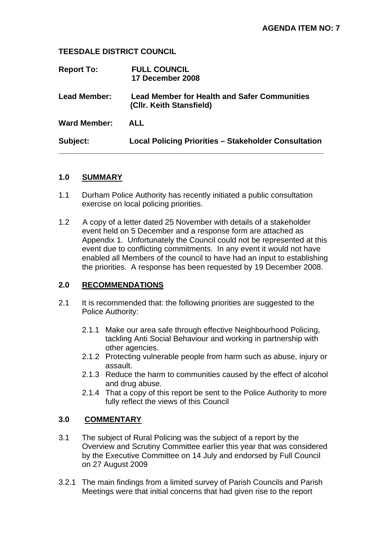### **TEESDALE DISTRICT COUNCIL**

| <b>Report To:</b>   | <b>FULL COUNCIL</b><br>17 December 2008                                         |
|---------------------|---------------------------------------------------------------------------------|
| <b>Lead Member:</b> | <b>Lead Member for Health and Safer Communities</b><br>(CIIr. Keith Stansfield) |
| <b>Ward Member:</b> | <b>ALL</b>                                                                      |
| Subject:            | <b>Local Policing Priorities - Stakeholder Consultation</b>                     |

### **1.0 SUMMARY**

- 1.1 Durham Police Authority has recently initiated a public consultation exercise on local policing priorities.
- 1.2 A copy of a letter dated 25 November with details of a stakeholder event held on 5 December and a response form are attached as Appendix 1. Unfortunately the Council could not be represented at this event due to conflicting commitments. In any event it would not have enabled all Members of the council to have had an input to establishing the priorities. A response has been requested by 19 December 2008.

# **2.0 RECOMMENDATIONS**

- 2.1 It is recommended that: the following priorities are suggested to the Police Authority:
	- 2.1.1 Make our area safe through effective Neighbourhood Policing, tackling Anti Social Behaviour and working in partnership with other agencies.
	- 2.1.2 Protecting vulnerable people from harm such as abuse, injury or assault.
	- 2.1.3 Reduce the harm to communities caused by the effect of alcohol and drug abuse.
	- 2.1.4 That a copy of this report be sent to the Police Authority to more fully reflect the views of this Council

# **3.0 COMMENTARY**

- 3.1 The subject of Rural Policing was the subject of a report by the Overview and Scrutiny Committee earlier this year that was considered by the Executive Committee on 14 July and endorsed by Full Council on 27 August 2009
- 3.2.1 The main findings from a limited survey of Parish Councils and Parish Meetings were that initial concerns that had given rise to the report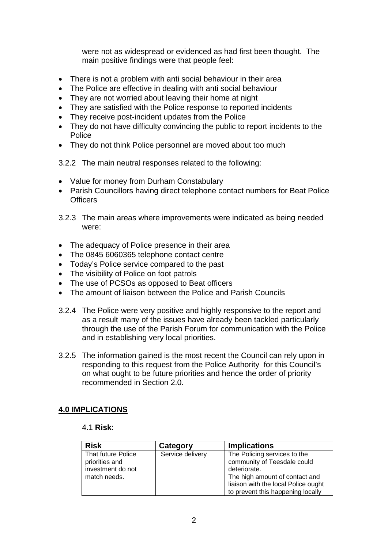were not as widespread or evidenced as had first been thought. The main positive findings were that people feel:

- There is not a problem with anti social behaviour in their area
- The Police are effective in dealing with anti social behaviour
- They are not worried about leaving their home at night
- They are satisfied with the Police response to reported incidents
- They receive post-incident updates from the Police
- They do not have difficulty convincing the public to report incidents to the Police
- They do not think Police personnel are moved about too much
- 3.2.2 The main neutral responses related to the following:
- Value for money from Durham Constabulary
- Parish Councillors having direct telephone contact numbers for Beat Police **Officers**
- 3.2.3 The main areas where improvements were indicated as being needed were:
- The adequacy of Police presence in their area
- The 0845 6060365 telephone contact centre
- Today's Police service compared to the past
- The visibility of Police on foot patrols
- The use of PCSOs as opposed to Beat officers
- The amount of liaison between the Police and Parish Councils
- 3.2.4 The Police were very positive and highly responsive to the report and as a result many of the issues have already been tackled particularly through the use of the Parish Forum for communication with the Police and in establishing very local priorities.
- 3.2.5 The information gained is the most recent the Council can rely upon in responding to this request from the Police Authority for this Council's on what ought to be future priorities and hence the order of priority recommended in Section 2.0.

# **4.0 IMPLICATIONS**

#### 4.1 **Risk**:

| <b>Risk</b>                                                               | Category         | <b>Implications</b>                                                                                                                                                                       |
|---------------------------------------------------------------------------|------------------|-------------------------------------------------------------------------------------------------------------------------------------------------------------------------------------------|
| That future Police<br>priorities and<br>investment do not<br>match needs. | Service delivery | The Policing services to the<br>community of Teesdale could<br>deteriorate.<br>The high amount of contact and<br>liaison with the local Police ought<br>to prevent this happening locally |